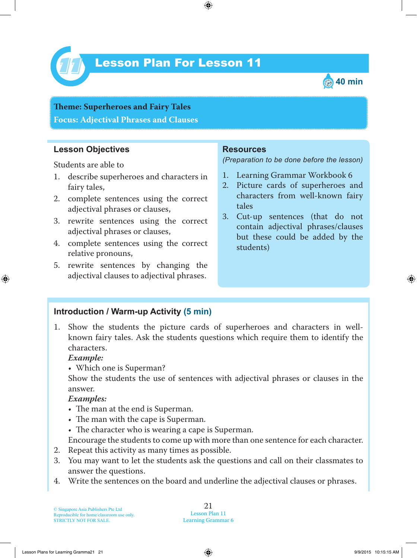

# Lesson Plan For Lesson 11 *11*



**Teme : Superheroes and Fairy Tales Focus: Adjectival Phrases and Clauses**

# **Lesson Objectives**

Students are able to

- 1. describe superheroes and characters in fairy tales,
- 2. complete sentences using the correct adjectival phrases or clauses,
- 3. rewrite sentences using the correct adjectival phrases or clauses,
- 4. complete sentences using the correct relative pronouns,
- 5. rewrite sentences by changing the adjectival clauses to adjectival phrases.

#### **Resources**

*(Preparation to be done before the lesson)*

- 1. Learning Grammar Workbook 6
- 2. Picture cards of superheroes and characters from well-known fairy tales
- 3. Cut-up sentences (that do not contain adjectival phrases/clauses but these could be added by the students)

### **Introduction / Warm-up Activity (5 min)**

1. Show the students the picture cards of superheroes and characters in wellknown fairy tales. Ask the students questions which require them to identify the characters.

#### *Example:*

• Which one is Superman?

Show the students the use of sentences with adjectival phrases or clauses in the answer.

#### *Examples:*

- The man at the end is Superman.
- The man with the cape is Superman.
- $\bullet$  The character who is wearing a cape is Superman.

Encourage the students to come up with more than one sentence for each character.

- 2. Repeat this activity as many times as possible.
- 3. You may want to let the students ask the questions and call on their classmates to answer the questions.
- 4. Write the sentences on the board and underline the adjectival clauses or phrases.